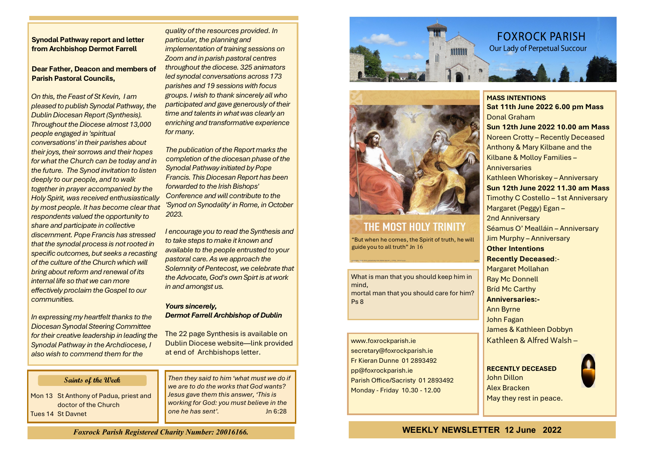## **Synodal Pathway report and letter from Archbishop Dermot Farrell**

**Dear Father, Deacon and members of Parish Pastoral Councils,**

*On this, the Feast of St Kevin, I am pleased to publish Synodal Pathway, the Dublin Diocesan Report (Synthesis). Throughout the Diocese almost 13,000 people engaged in 'spiritual conversations' in their parishes about their joys, their sorrows and their hopes for what the Church can be today and in the future. The Synod invitation to listen deeply to our people, and to walk together in prayer accompanied by the Holy Spirit, was received enthusiastically by most people. It has become clear that respondents valued the opportunity to share and participate in collective discernment. Pope Francis has stressed that the synodal process is not rooted in specific outcomes, but seeks a recasting of the culture of the Church which will bring about reform and renewal of its internal life so that we can more effectively proclaim the Gospel to our communities.*

*In expressing my heartfelt thanks to the Diocesan Synodal Steering Committee for their creative leadership in leading the Synodal Pathway in the Archdiocese, I also wish to commend them for the* 

## **Saints of the Week**

Mon 13 St Anthony of Padua, priest and doctor of the Church Tues 14 St Davnet

*quality of the resources provided. In particular, the planning and implementation of training sessions on Zoom and in parish pastoral centres throughout the diocese. 325 animators led synodal conversations across 173 parishes and 19 sessions with focus groups. I wish to thank sincerely all who participated and gave generously of their time and talents in what was clearly an enriching and transformative experience for many.*

*The publication of the Report marks the completion of the diocesan phase of the Synodal Pathway initiated by Pope Francis. This Diocesan Report has been forwarded to the Irish Bishops' Conference and will contribute to the 'Synod on Synodality' in Rome, in October 2023.*

*I encourage you to read the Synthesis and to take steps to make it known and available to the people entrusted to your pastoral care. As we approach the Solemnity of Pentecost, we celebrate that the Advocate, God's own Spirt is at work in and amongst us.*

### *Yours sincerely, Dermot Farrell Archbishop of Dublin*

The 22 page Synthesis is available on Dublin Diocese website—link provided at end of Archbishops letter.

*Then they said to him 'what must we do if we are to do the works that God wants? Jesus gave them this answer, 'This is working for God: you must believe in the one he has sent'.* Jn 6:28





# THE MOST HOLY TRINITY

"But when he comes, the Spirit of truth, he will guide you to all truth" Jn 16

What is man that you should keep him in mind, mortal man that you should care for him? Ps 8

www.foxrockparish.ie secretary@foxrockparish.ie Fr Kieran Dunne 01 2893492 pp@foxrockparish.ie Parish Office/Sacristy 01 2893492 Monday - Friday 10.30 - 12.00

**MASS INTENTIONS Sat 11th June 2022 6.00 pm Mass** Donal Graham **Sun 12th June 2022 10.00 am Mass** Noreen Crotty – Recently Deceased Anthony & Mary Kilbane and the Kilbane & Molloy Families – **Anniversaries** Kathleen Whoriskey – Anniversary **Sun 12th June 2022 11.30 am Mass** Timothy C Costello – 1st Anniversary Margaret (Peggy) Egan – 2nd Anniversary Séamus O' Mealláin – Anniversary Jim Murphy – Anniversary **Other Intentions Recently Deceased**:- Margaret Mollahan Ray Mc Donnell Bríd Mc Carthy **Anniversaries:-** Ann Byrne John Fagan James & Kathleen Dobbyn Kathleen & Alfred Walsh –



*Foxrock Parish Registered Charity Number: 20016166.*

**WEEKLY NEWSLETTER 12 June 2022**